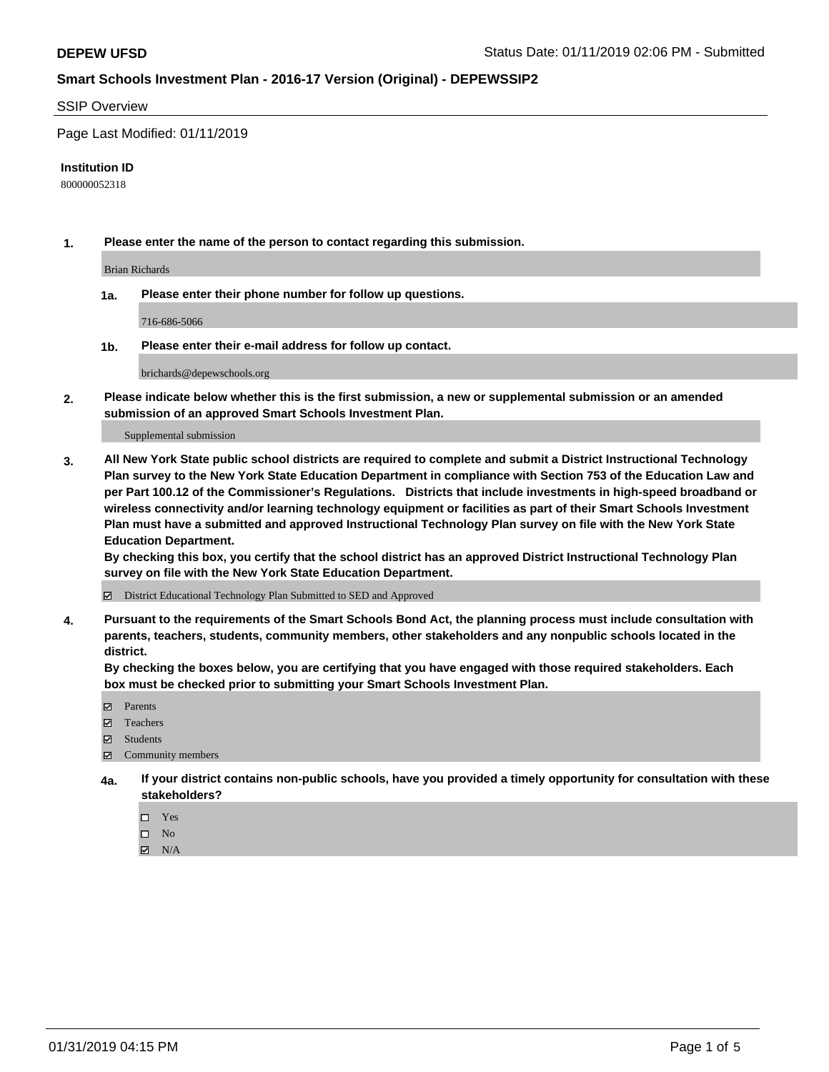### SSIP Overview

Page Last Modified: 01/11/2019

#### **Institution ID**

800000052318

**1. Please enter the name of the person to contact regarding this submission.**

Brian Richards

**1a. Please enter their phone number for follow up questions.**

716-686-5066

**1b. Please enter their e-mail address for follow up contact.**

brichards@depewschools.org

**2. Please indicate below whether this is the first submission, a new or supplemental submission or an amended submission of an approved Smart Schools Investment Plan.**

Supplemental submission

**3. All New York State public school districts are required to complete and submit a District Instructional Technology Plan survey to the New York State Education Department in compliance with Section 753 of the Education Law and per Part 100.12 of the Commissioner's Regulations. Districts that include investments in high-speed broadband or wireless connectivity and/or learning technology equipment or facilities as part of their Smart Schools Investment Plan must have a submitted and approved Instructional Technology Plan survey on file with the New York State Education Department.** 

**By checking this box, you certify that the school district has an approved District Instructional Technology Plan survey on file with the New York State Education Department.**

District Educational Technology Plan Submitted to SED and Approved

**4. Pursuant to the requirements of the Smart Schools Bond Act, the planning process must include consultation with parents, teachers, students, community members, other stakeholders and any nonpublic schools located in the district.** 

**By checking the boxes below, you are certifying that you have engaged with those required stakeholders. Each box must be checked prior to submitting your Smart Schools Investment Plan.**

- **□** Parents
- Teachers
- Students
- $\boxtimes$  Community members
- **4a. If your district contains non-public schools, have you provided a timely opportunity for consultation with these stakeholders?**
	- $\Box$  Yes
	- $\qquad \qquad$  No
	- $\blacksquare$  N/A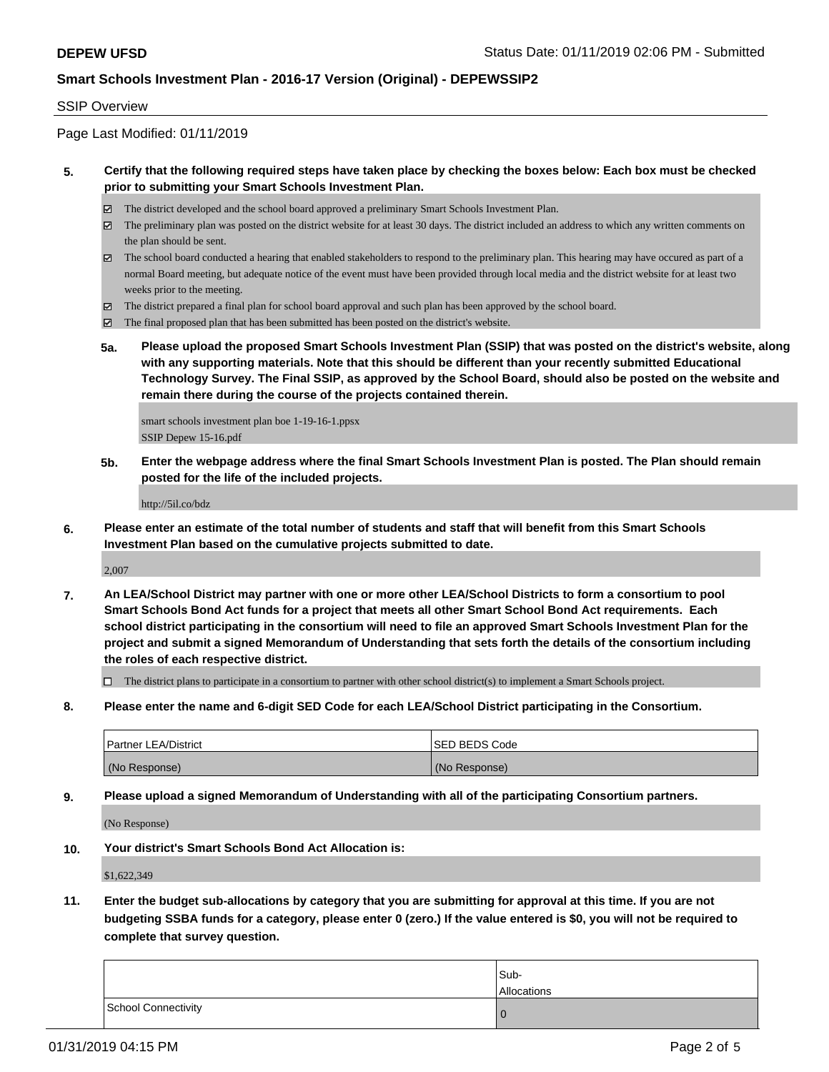### SSIP Overview

Page Last Modified: 01/11/2019

### **5. Certify that the following required steps have taken place by checking the boxes below: Each box must be checked prior to submitting your Smart Schools Investment Plan.**

- The district developed and the school board approved a preliminary Smart Schools Investment Plan.
- $\boxtimes$  The preliminary plan was posted on the district website for at least 30 days. The district included an address to which any written comments on the plan should be sent.
- $\boxtimes$  The school board conducted a hearing that enabled stakeholders to respond to the preliminary plan. This hearing may have occured as part of a normal Board meeting, but adequate notice of the event must have been provided through local media and the district website for at least two weeks prior to the meeting.
- The district prepared a final plan for school board approval and such plan has been approved by the school board.
- $\boxtimes$  The final proposed plan that has been submitted has been posted on the district's website.
- **5a. Please upload the proposed Smart Schools Investment Plan (SSIP) that was posted on the district's website, along with any supporting materials. Note that this should be different than your recently submitted Educational Technology Survey. The Final SSIP, as approved by the School Board, should also be posted on the website and remain there during the course of the projects contained therein.**

smart schools investment plan boe 1-19-16-1.ppsx SSIP Depew 15-16.pdf

**5b. Enter the webpage address where the final Smart Schools Investment Plan is posted. The Plan should remain posted for the life of the included projects.**

http://5il.co/bdz

**6. Please enter an estimate of the total number of students and staff that will benefit from this Smart Schools Investment Plan based on the cumulative projects submitted to date.**

2,007

**7. An LEA/School District may partner with one or more other LEA/School Districts to form a consortium to pool Smart Schools Bond Act funds for a project that meets all other Smart School Bond Act requirements. Each school district participating in the consortium will need to file an approved Smart Schools Investment Plan for the project and submit a signed Memorandum of Understanding that sets forth the details of the consortium including the roles of each respective district.**

 $\Box$  The district plans to participate in a consortium to partner with other school district(s) to implement a Smart Schools project.

**8. Please enter the name and 6-digit SED Code for each LEA/School District participating in the Consortium.**

| Partner LEA/District | <b>SED BEDS Code</b> |
|----------------------|----------------------|
| (No Response)        | (No Response)        |

**9. Please upload a signed Memorandum of Understanding with all of the participating Consortium partners.**

(No Response)

**10. Your district's Smart Schools Bond Act Allocation is:**

\$1,622,349

**11. Enter the budget sub-allocations by category that you are submitting for approval at this time. If you are not budgeting SSBA funds for a category, please enter 0 (zero.) If the value entered is \$0, you will not be required to complete that survey question.**

|                     | Sub-<br>Allocations |
|---------------------|---------------------|
| School Connectivity | O                   |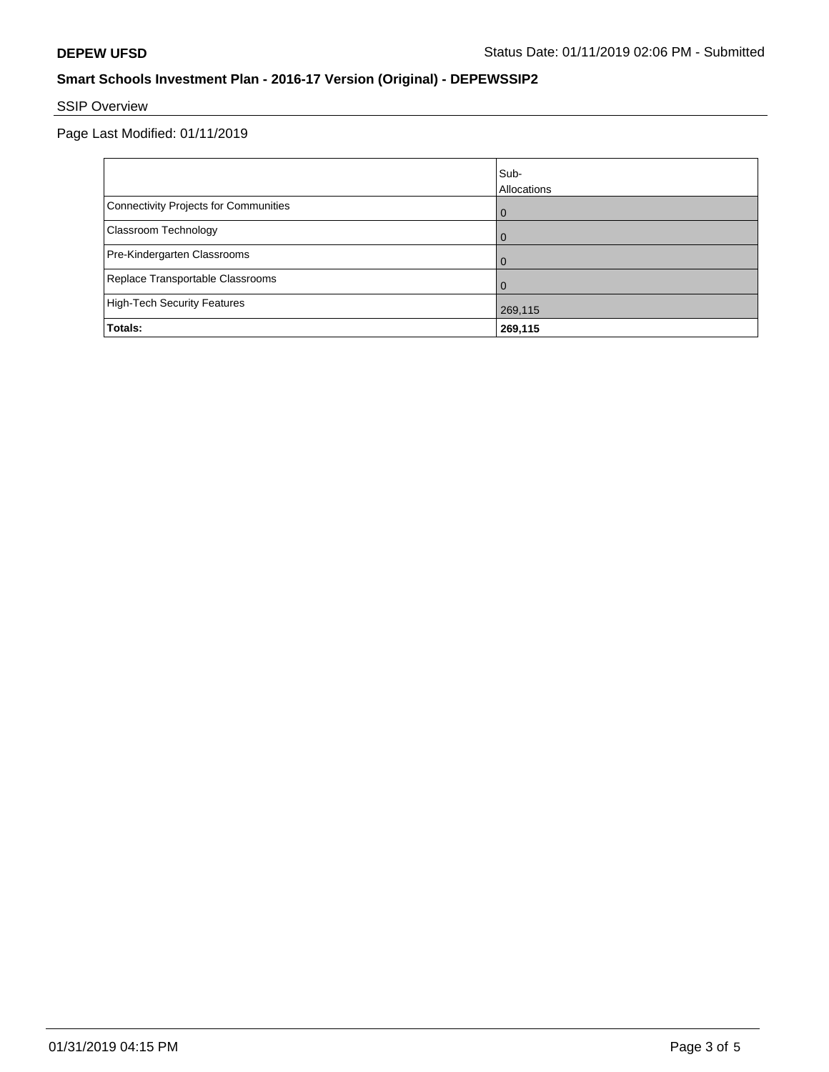# SSIP Overview

Page Last Modified: 01/11/2019

|                                       | Sub-        |
|---------------------------------------|-------------|
|                                       | Allocations |
| Connectivity Projects for Communities | $\Omega$    |
| Classroom Technology                  | $\Omega$    |
| Pre-Kindergarten Classrooms           | $\Omega$    |
| Replace Transportable Classrooms      | $\Omega$    |
| High-Tech Security Features           | 269,115     |
| Totals:                               | 269,115     |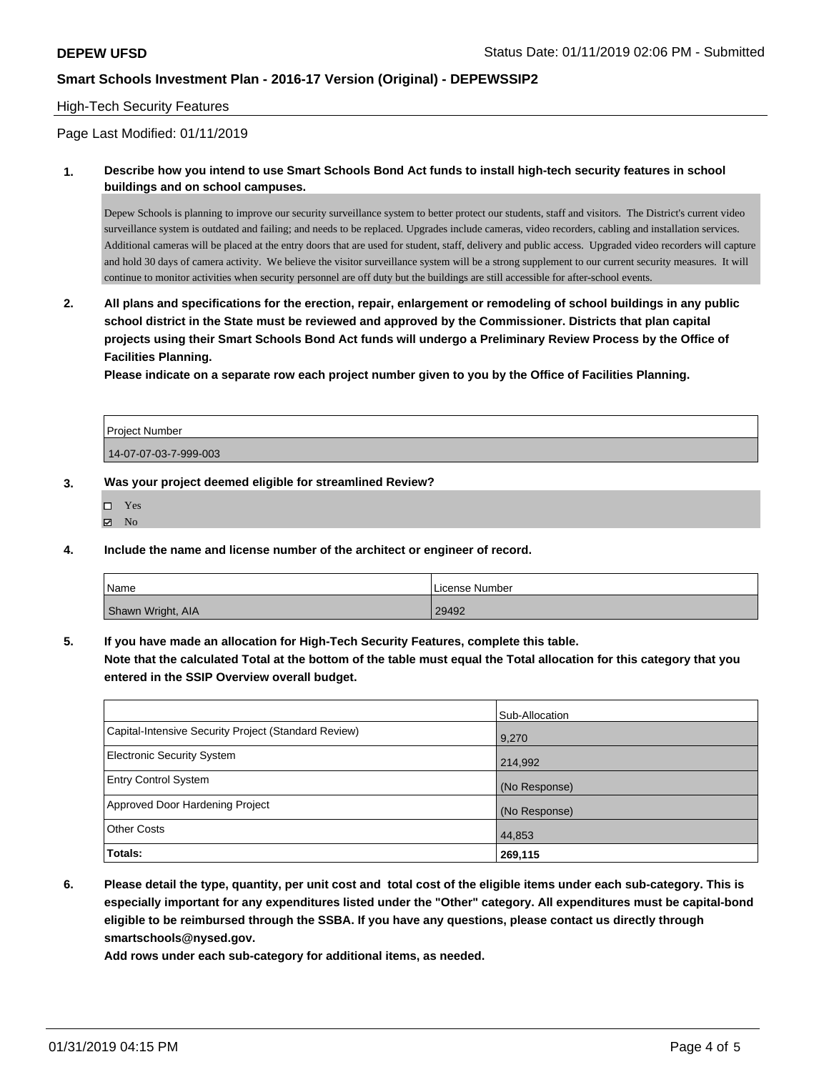### High-Tech Security Features

### Page Last Modified: 01/11/2019

**1. Describe how you intend to use Smart Schools Bond Act funds to install high-tech security features in school buildings and on school campuses.**

Depew Schools is planning to improve our security surveillance system to better protect our students, staff and visitors. The District's current video surveillance system is outdated and failing; and needs to be replaced. Upgrades include cameras, video recorders, cabling and installation services. Additional cameras will be placed at the entry doors that are used for student, staff, delivery and public access. Upgraded video recorders will capture and hold 30 days of camera activity. We believe the visitor surveillance system will be a strong supplement to our current security measures. It will continue to monitor activities when security personnel are off duty but the buildings are still accessible for after-school events.

**2. All plans and specifications for the erection, repair, enlargement or remodeling of school buildings in any public school district in the State must be reviewed and approved by the Commissioner. Districts that plan capital projects using their Smart Schools Bond Act funds will undergo a Preliminary Review Process by the Office of Facilities Planning.** 

**Please indicate on a separate row each project number given to you by the Office of Facilities Planning.**

| <b>Project Number</b> |  |
|-----------------------|--|
| 14-07-07-03-7-999-003 |  |

#### **3. Was your project deemed eligible for streamlined Review?**

| □ | Yes |
|---|-----|
| ⊽ | No  |

**4. Include the name and license number of the architect or engineer of record.**

| Name              | License Number |
|-------------------|----------------|
| Shawn Wright, AIA | 29492          |

**5. If you have made an allocation for High-Tech Security Features, complete this table. Note that the calculated Total at the bottom of the table must equal the Total allocation for this category that you**

**entered in the SSIP Overview overall budget.**

|                                                      | Sub-Allocation |
|------------------------------------------------------|----------------|
| Capital-Intensive Security Project (Standard Review) | 9,270          |
| Electronic Security System                           | 214,992        |
| <b>Entry Control System</b>                          | (No Response)  |
| Approved Door Hardening Project                      | (No Response)  |
| <b>Other Costs</b>                                   | 44,853         |
| Totals:                                              | 269,115        |

**6. Please detail the type, quantity, per unit cost and total cost of the eligible items under each sub-category. This is especially important for any expenditures listed under the "Other" category. All expenditures must be capital-bond eligible to be reimbursed through the SSBA. If you have any questions, please contact us directly through smartschools@nysed.gov.**

**Add rows under each sub-category for additional items, as needed.**